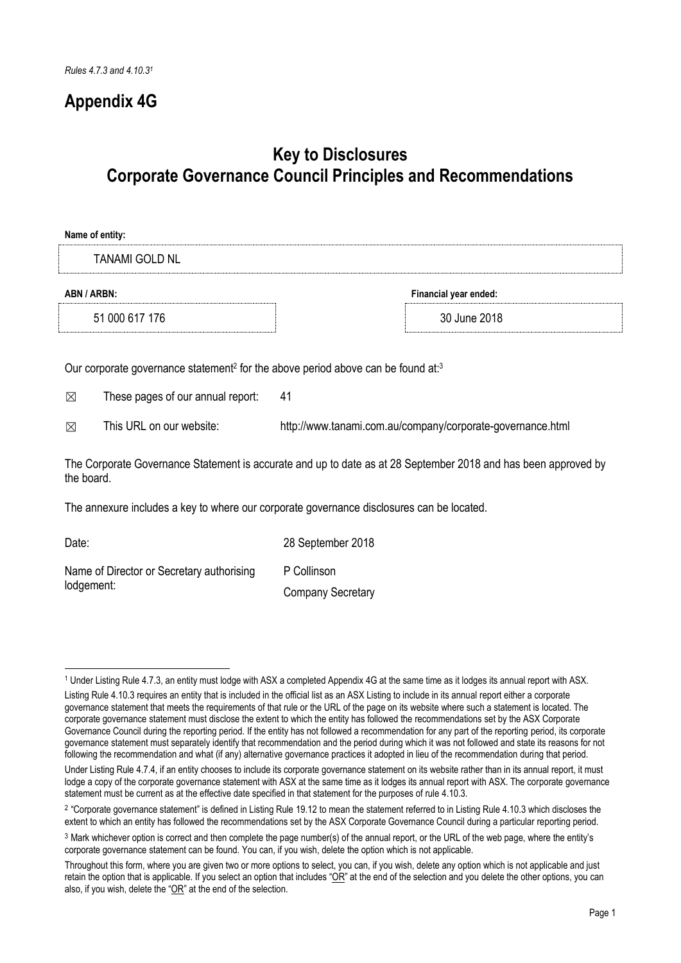## **Appendix 4G**

lodgement:

## **Key to Disclosures Corporate Governance Council Principles and Recommendations**

| Name of entity:                                                                                                                                          |                                                                                           |                                                            |  |
|----------------------------------------------------------------------------------------------------------------------------------------------------------|-------------------------------------------------------------------------------------------|------------------------------------------------------------|--|
|                                                                                                                                                          | TANAMI GOLD NL                                                                            |                                                            |  |
| ABN / ARBN:                                                                                                                                              |                                                                                           | Financial year ended:                                      |  |
|                                                                                                                                                          | 51 000 617 176                                                                            | 30 June 2018                                               |  |
| Our corporate governance statement <sup>2</sup> for the above period above can be found at: <sup>3</sup><br>41<br>These pages of our annual report:<br>⊠ |                                                                                           |                                                            |  |
| ⊠                                                                                                                                                        | This URL on our website:                                                                  | http://www.tanami.com.au/company/corporate-governance.html |  |
| The Corporate Governance Statement is accurate and up to date as at 28 September 2018 and has been approved by<br>the board.                             |                                                                                           |                                                            |  |
|                                                                                                                                                          | The annexure includes a key to where our corporate governance disclosures can be located. |                                                            |  |
| Date:                                                                                                                                                    |                                                                                           | 28 September 2018                                          |  |
|                                                                                                                                                          | Name of Director or Secretary authorising<br>P Collinson                                  |                                                            |  |

Company Secretary

<sup>&</sup>lt;u>.</u> <sup>1</sup> Under Listing Rule 4.7.3, an entity must lodge with ASX a completed Appendix 4G at the same time as it lodges its annual report with ASX.

Listing Rule 4.10.3 requires an entity that is included in the official list as an ASX Listing to include in its annual report either a corporate governance statement that meets the requirements of that rule or the URL of the page on its website where such a statement is located. The corporate governance statement must disclose the extent to which the entity has followed the recommendations set by the ASX Corporate Governance Council during the reporting period. If the entity has not followed a recommendation for any part of the reporting period, its corporate governance statement must separately identify that recommendation and the period during which it was not followed and state its reasons for not following the recommendation and what (if any) alternative governance practices it adopted in lieu of the recommendation during that period.

Under Listing Rule 4.7.4, if an entity chooses to include its corporate governance statement on its website rather than in its annual report, it must lodge a copy of the corporate governance statement with ASX at the same time as it lodges its annual report with ASX. The corporate governance statement must be current as at the effective date specified in that statement for the purposes of rule 4.10.3.

<sup>&</sup>lt;sup>2</sup> "Corporate governance statement" is defined in Listing Rule 19.12 to mean the statement referred to in Listing Rule 4.10.3 which discloses the extent to which an entity has followed the recommendations set by the ASX Corporate Governance Council during a particular reporting period.

<sup>3</sup> Mark whichever option is correct and then complete the page number(s) of the annual report, or the URL of the web page, where the entity's corporate governance statement can be found. You can, if you wish, delete the option which is not applicable.

Throughout this form, where you are given two or more options to select, you can, if you wish, delete any option which is not applicable and just retain the option that is applicable. If you select an option that includes " $OR$ " at the end of the selection and you delete the other options, you can also, if you wish, delete the "OR" at the end of the selection.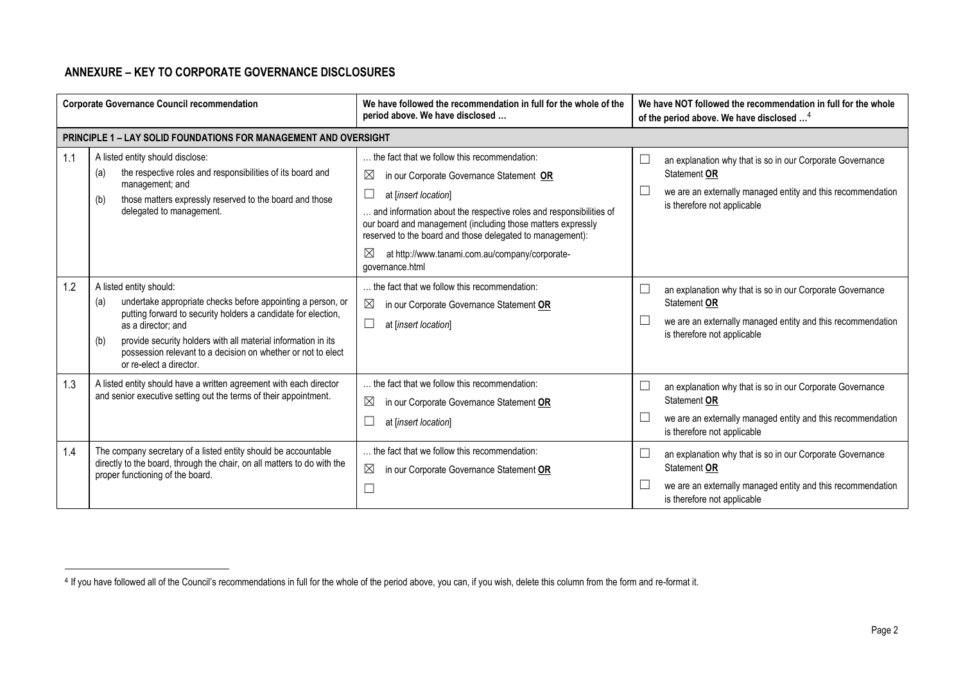## **ANNEXURE – KEY TO CORPORATE GOVERNANCE DISCLOSURES**

-

| <b>Corporate Governance Council recommendation</b> |                                                                                                                                                                                                                                                                                                                                                         | We have followed the recommendation in full for the whole of the<br>period above. We have disclosed                                                                                                                                                                                                                                                                                                                   | We have NOT followed the recommendation in full for the whole<br>of the period above. We have disclosed <sup>4</sup>                                                                                                                                           |
|----------------------------------------------------|---------------------------------------------------------------------------------------------------------------------------------------------------------------------------------------------------------------------------------------------------------------------------------------------------------------------------------------------------------|-----------------------------------------------------------------------------------------------------------------------------------------------------------------------------------------------------------------------------------------------------------------------------------------------------------------------------------------------------------------------------------------------------------------------|----------------------------------------------------------------------------------------------------------------------------------------------------------------------------------------------------------------------------------------------------------------|
|                                                    | <b>PRINCIPLE 1 - LAY SOLID FOUNDATIONS FOR MANAGEMENT AND OVERSIGHT</b>                                                                                                                                                                                                                                                                                 |                                                                                                                                                                                                                                                                                                                                                                                                                       |                                                                                                                                                                                                                                                                |
| 1.1                                                | A listed entity should disclose:<br>the respective roles and responsibilities of its board and<br>(a)<br>management; and<br>those matters expressly reserved to the board and those<br>(b)<br>delegated to management.                                                                                                                                  | the fact that we follow this recommendation:<br>$\boxtimes$<br>in our Corporate Governance Statement OR<br>at [insert location]<br>and information about the respective roles and responsibilities of<br>our board and management (including those matters expressly<br>reserved to the board and those delegated to management):<br>$\boxtimes$<br>at http://www.tanami.com.au/company/corporate-<br>governance.html | an explanation why that is so in our Corporate Governance<br>Statement OR<br>we are an externally managed entity and this recommendation<br>is therefore not applicable                                                                                        |
| 1.2                                                | A listed entity should:<br>undertake appropriate checks before appointing a person, or<br>(a)<br>putting forward to security holders a candidate for election,<br>as a director; and<br>provide security holders with all material information in its<br>(b)<br>possession relevant to a decision on whether or not to elect<br>or re-elect a director. | the fact that we follow this recommendation:<br>$\boxtimes$<br>in our Corporate Governance Statement OR<br>at [insert location]                                                                                                                                                                                                                                                                                       | an explanation why that is so in our Corporate Governance<br>Statement OR<br>we are an externally managed entity and this recommendation<br>is therefore not applicable                                                                                        |
| 1.3<br>1.4                                         | A listed entity should have a written agreement with each director<br>and senior executive setting out the terms of their appointment.<br>The company secretary of a listed entity should be accountable<br>directly to the board, through the chair, on all matters to do with the<br>proper functioning of the board.                                 | the fact that we follow this recommendation:<br>$\boxtimes$<br>in our Corporate Governance Statement OR<br>at linsert location]<br>the fact that we follow this recommendation:<br>$\boxtimes$<br>in our Corporate Governance Statement OR                                                                                                                                                                            | an explanation why that is so in our Corporate Governance<br>∟<br>Statement OR<br>we are an externally managed entity and this recommendation<br>is therefore not applicable<br>an explanation why that is so in our Corporate Governance<br>L<br>Statement OR |
|                                                    |                                                                                                                                                                                                                                                                                                                                                         | $\Box$                                                                                                                                                                                                                                                                                                                                                                                                                | we are an externally managed entity and this recommendation<br>is therefore not applicable                                                                                                                                                                     |

<sup>&</sup>lt;sup>4</sup> If you have followed all of the Council's recommendations in full for the whole of the period above, you can, if you wish, delete this column from the form and re-format it.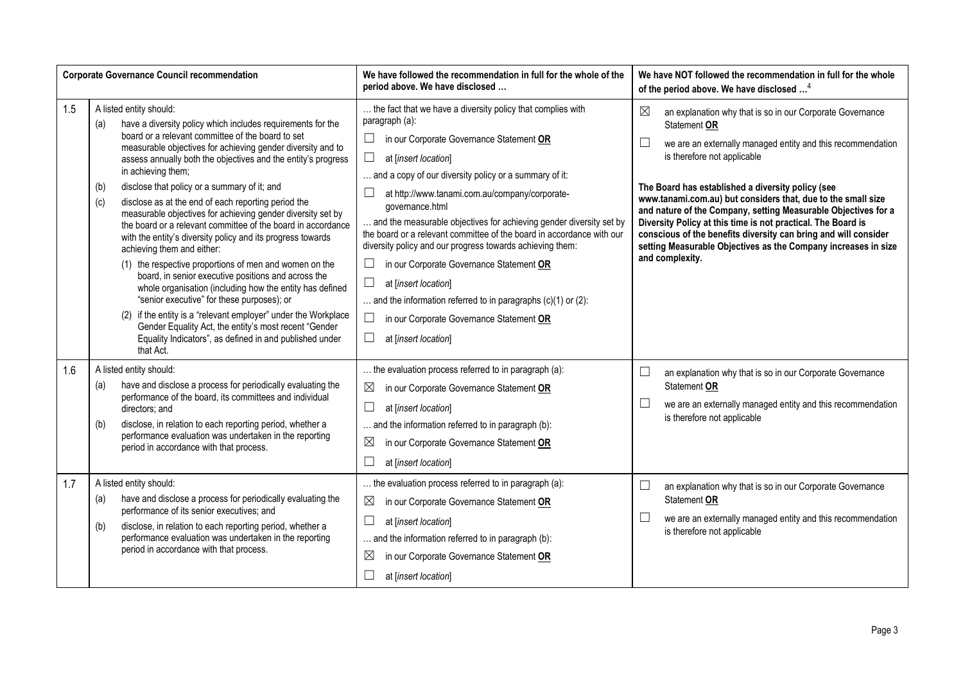| <b>Corporate Governance Council recommendation</b> |                                                                                                                               |                                                                                                                                                                                                                                                                                                                                                                                                                                                                                                                                                                                                                                                                                                                                                                                                                                                                                                                                                                        | We have followed the recommendation in full for the whole of the<br>period above. We have disclosed                                                                                                                                                                                                                                                                                                                                                                                                                                                                                                                                                                                                                                                | We have NOT followed the recommendation in full for the whole<br>of the period above. We have disclosed <sup>4</sup>                                                                                                                                                                                                                                                                                                                                                                                                                                                                                       |
|----------------------------------------------------|-------------------------------------------------------------------------------------------------------------------------------|------------------------------------------------------------------------------------------------------------------------------------------------------------------------------------------------------------------------------------------------------------------------------------------------------------------------------------------------------------------------------------------------------------------------------------------------------------------------------------------------------------------------------------------------------------------------------------------------------------------------------------------------------------------------------------------------------------------------------------------------------------------------------------------------------------------------------------------------------------------------------------------------------------------------------------------------------------------------|----------------------------------------------------------------------------------------------------------------------------------------------------------------------------------------------------------------------------------------------------------------------------------------------------------------------------------------------------------------------------------------------------------------------------------------------------------------------------------------------------------------------------------------------------------------------------------------------------------------------------------------------------------------------------------------------------------------------------------------------------|------------------------------------------------------------------------------------------------------------------------------------------------------------------------------------------------------------------------------------------------------------------------------------------------------------------------------------------------------------------------------------------------------------------------------------------------------------------------------------------------------------------------------------------------------------------------------------------------------------|
| 1.5                                                | A listed entity should:<br>(a)<br>in achieving them;<br>(b)<br>(c)<br>achieving them and either:<br>that Act.                 | have a diversity policy which includes requirements for the<br>board or a relevant committee of the board to set<br>measurable objectives for achieving gender diversity and to<br>assess annually both the objectives and the entity's progress<br>disclose that policy or a summary of it; and<br>disclose as at the end of each reporting period the<br>measurable objectives for achieving gender diversity set by<br>the board or a relevant committee of the board in accordance<br>with the entity's diversity policy and its progress towards<br>(1) the respective proportions of men and women on the<br>board, in senior executive positions and across the<br>whole organisation (including how the entity has defined<br>"senior executive" for these purposes); or<br>(2) if the entity is a "relevant employer" under the Workplace<br>Gender Equality Act, the entity's most recent "Gender<br>Equality Indicators", as defined in and published under | the fact that we have a diversity policy that complies with<br>paragraph (a):<br>$\Box$<br>in our Corporate Governance Statement OR<br>$\Box$<br>at [insert location]<br>and a copy of our diversity policy or a summary of it:<br>at http://www.tanami.com.au/company/corporate-<br>governance.html<br>and the measurable objectives for achieving gender diversity set by<br>the board or a relevant committee of the board in accordance with our<br>diversity policy and our progress towards achieving them:<br>in our Corporate Governance Statement OR<br>$\Box$<br>at [insert location]<br>and the information referred to in paragraphs $(c)(1)$ or $(2)$ :<br>in our Corporate Governance Statement OR<br>$\Box$<br>at [insert location] | $\boxtimes$<br>an explanation why that is so in our Corporate Governance<br>Statement OR<br>L<br>we are an externally managed entity and this recommendation<br>is therefore not applicable<br>The Board has established a diversity policy (see<br>www.tanami.com.au) but considers that, due to the small size<br>and nature of the Company, setting Measurable Objectives for a<br>Diversity Policy at this time is not practical. The Board is<br>conscious of the benefits diversity can bring and will consider<br>setting Measurable Objectives as the Company increases in size<br>and complexity. |
| 1.6                                                | A listed entity should:<br>(a)<br>directors; and<br>(b)<br>period in accordance with that process.                            | have and disclose a process for periodically evaluating the<br>performance of the board, its committees and individual<br>disclose, in relation to each reporting period, whether a<br>performance evaluation was undertaken in the reporting                                                                                                                                                                                                                                                                                                                                                                                                                                                                                                                                                                                                                                                                                                                          | the evaluation process referred to in paragraph (a):<br>$\boxtimes$<br>in our Corporate Governance Statement OR<br>$\Box$<br>at [insert location]<br>and the information referred to in paragraph (b):<br>$\boxtimes$<br>in our Corporate Governance Statement OR<br>$\Box$<br>at [insert location]                                                                                                                                                                                                                                                                                                                                                                                                                                                | $\Box$<br>an explanation why that is so in our Corporate Governance<br>Statement OR<br>$\overline{\phantom{a}}$<br>we are an externally managed entity and this recommendation<br>is therefore not applicable                                                                                                                                                                                                                                                                                                                                                                                              |
| 1.7                                                | A listed entity should:<br>(a)<br>performance of its senior executives; and<br>(b)<br>period in accordance with that process. | have and disclose a process for periodically evaluating the<br>disclose, in relation to each reporting period, whether a<br>performance evaluation was undertaken in the reporting                                                                                                                                                                                                                                                                                                                                                                                                                                                                                                                                                                                                                                                                                                                                                                                     | the evaluation process referred to in paragraph (a):<br>$\boxtimes$<br>in our Corporate Governance Statement OR<br>$\Box$<br>at [insert location]<br>and the information referred to in paragraph (b):<br>$\boxtimes$<br>in our Corporate Governance Statement OR<br>at [insert location]                                                                                                                                                                                                                                                                                                                                                                                                                                                          | $\Box$<br>an explanation why that is so in our Corporate Governance<br>Statement OR<br>$\Box$<br>we are an externally managed entity and this recommendation<br>is therefore not applicable                                                                                                                                                                                                                                                                                                                                                                                                                |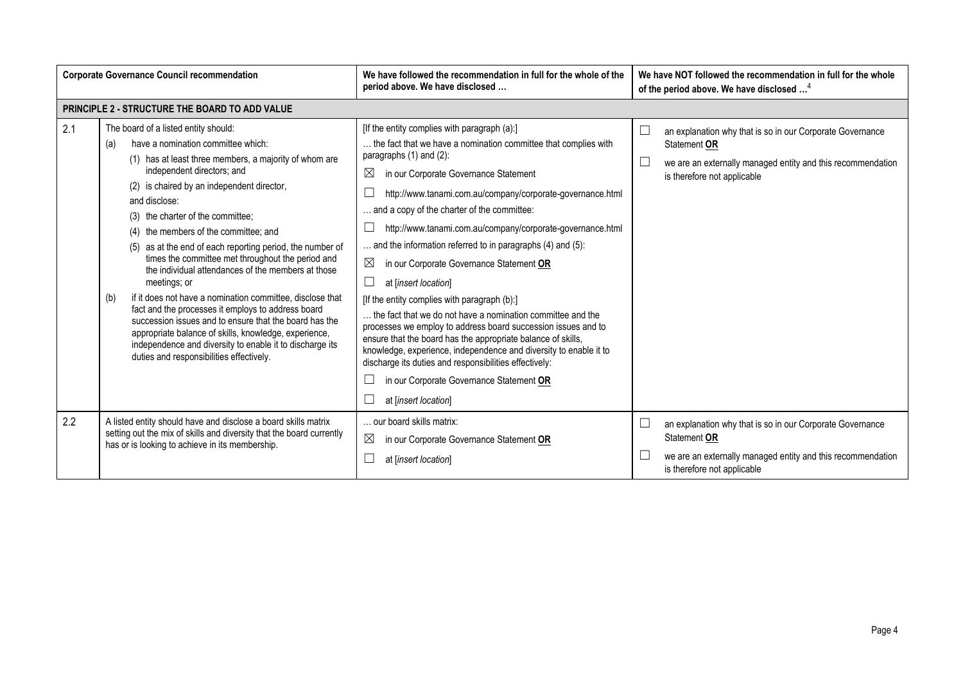| <b>Corporate Governance Council recommendation</b> |                                                                                                                                                                                                                                                                                                                                                                                                                                                                                                                                                                                                                                                                                                                                                                                                                                                                     | We have followed the recommendation in full for the whole of the<br>period above. We have disclosed                                                                                                                                                                                                                                                                                                                                                                                                                                                                                                                                                                                                                                                                                                                                                                                                                                                                     | We have NOT followed the recommendation in full for the whole<br>of the period above. We have disclosed <sup>4</sup>                                                    |
|----------------------------------------------------|---------------------------------------------------------------------------------------------------------------------------------------------------------------------------------------------------------------------------------------------------------------------------------------------------------------------------------------------------------------------------------------------------------------------------------------------------------------------------------------------------------------------------------------------------------------------------------------------------------------------------------------------------------------------------------------------------------------------------------------------------------------------------------------------------------------------------------------------------------------------|-------------------------------------------------------------------------------------------------------------------------------------------------------------------------------------------------------------------------------------------------------------------------------------------------------------------------------------------------------------------------------------------------------------------------------------------------------------------------------------------------------------------------------------------------------------------------------------------------------------------------------------------------------------------------------------------------------------------------------------------------------------------------------------------------------------------------------------------------------------------------------------------------------------------------------------------------------------------------|-------------------------------------------------------------------------------------------------------------------------------------------------------------------------|
|                                                    | PRINCIPLE 2 - STRUCTURE THE BOARD TO ADD VALUE                                                                                                                                                                                                                                                                                                                                                                                                                                                                                                                                                                                                                                                                                                                                                                                                                      |                                                                                                                                                                                                                                                                                                                                                                                                                                                                                                                                                                                                                                                                                                                                                                                                                                                                                                                                                                         |                                                                                                                                                                         |
| 2.1                                                | The board of a listed entity should:<br>have a nomination committee which:<br>(a)<br>(1) has at least three members, a majority of whom are<br>independent directors; and<br>(2) is chaired by an independent director,<br>and disclose:<br>(3) the charter of the committee;<br>(4) the members of the committee; and<br>(5) as at the end of each reporting period, the number of<br>times the committee met throughout the period and<br>the individual attendances of the members at those<br>meetings; or<br>if it does not have a nomination committee, disclose that<br>(b)<br>fact and the processes it employs to address board<br>succession issues and to ensure that the board has the<br>appropriate balance of skills, knowledge, experience,<br>independence and diversity to enable it to discharge its<br>duties and responsibilities effectively. | [If the entity complies with paragraph (a):]<br>the fact that we have a nomination committee that complies with<br>paragraphs (1) and (2):<br>$\boxtimes$<br>in our Corporate Governance Statement<br>http://www.tanami.com.au/company/corporate-governance.html<br>and a copy of the charter of the committee:<br>http://www.tanami.com.au/company/corporate-governance.html<br>and the information referred to in paragraphs (4) and (5):<br>⊠<br>in our Corporate Governance Statement OR<br>at [insert location]<br>[If the entity complies with paragraph (b):]<br>the fact that we do not have a nomination committee and the<br>processes we employ to address board succession issues and to<br>ensure that the board has the appropriate balance of skills,<br>knowledge, experience, independence and diversity to enable it to<br>discharge its duties and responsibilities effectively:<br>in our Corporate Governance Statement OR<br>at [insert location] | an explanation why that is so in our Corporate Governance<br>Statement OR<br>we are an externally managed entity and this recommendation<br>is therefore not applicable |
| 2.2                                                | A listed entity should have and disclose a board skills matrix<br>setting out the mix of skills and diversity that the board currently<br>has or is looking to achieve in its membership.                                                                                                                                                                                                                                                                                                                                                                                                                                                                                                                                                                                                                                                                           | our board skills matrix:<br>$\boxtimes$<br>in our Corporate Governance Statement OR<br>at [insert location]                                                                                                                                                                                                                                                                                                                                                                                                                                                                                                                                                                                                                                                                                                                                                                                                                                                             | an explanation why that is so in our Corporate Governance<br>Statement OR<br>we are an externally managed entity and this recommendation<br>is therefore not applicable |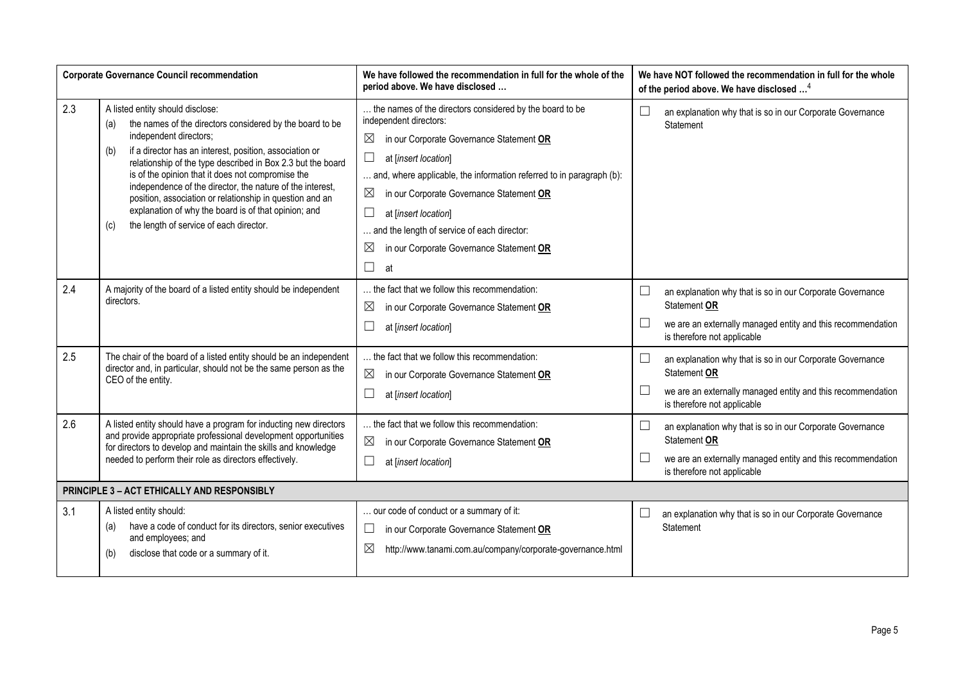|     | <b>Corporate Governance Council recommendation</b>                                                                                                                                                                                                                                                                                                                                                                                                                                                                                                     | We have followed the recommendation in full for the whole of the<br>period above. We have disclosed                                                                                                                                                                                                                                                                                                                                                                            |                  | We have NOT followed the recommendation in full for the whole<br>of the period above. We have disclosed <sup>4</sup>                                                    |
|-----|--------------------------------------------------------------------------------------------------------------------------------------------------------------------------------------------------------------------------------------------------------------------------------------------------------------------------------------------------------------------------------------------------------------------------------------------------------------------------------------------------------------------------------------------------------|--------------------------------------------------------------------------------------------------------------------------------------------------------------------------------------------------------------------------------------------------------------------------------------------------------------------------------------------------------------------------------------------------------------------------------------------------------------------------------|------------------|-------------------------------------------------------------------------------------------------------------------------------------------------------------------------|
| 2.3 | A listed entity should disclose:<br>the names of the directors considered by the board to be<br>(a)<br>independent directors;<br>if a director has an interest, position, association or<br>(b)<br>relationship of the type described in Box 2.3 but the board<br>is of the opinion that it does not compromise the<br>independence of the director, the nature of the interest,<br>position, association or relationship in question and an<br>explanation of why the board is of that opinion; and<br>the length of service of each director.<br>(c) | the names of the directors considered by the board to be<br>independent directors:<br>$\boxtimes$<br>in our Corporate Governance Statement OR<br>$\Box$<br>at [insert location]<br>and, where applicable, the information referred to in paragraph (b):<br>$\boxtimes$<br>in our Corporate Governance Statement OR<br>$\Box$<br>at [insert location]<br>and the length of service of each director:<br>$\boxtimes$<br>in our Corporate Governance Statement OR<br>$\Box$<br>at | $\Box$           | an explanation why that is so in our Corporate Governance<br>Statement                                                                                                  |
| 2.4 | A majority of the board of a listed entity should be independent<br>directors.                                                                                                                                                                                                                                                                                                                                                                                                                                                                         | the fact that we follow this recommendation:<br>$\boxtimes$<br>in our Corporate Governance Statement OR<br>at [insert location]                                                                                                                                                                                                                                                                                                                                                | $\Box$<br>$\Box$ | an explanation why that is so in our Corporate Governance<br>Statement OR<br>we are an externally managed entity and this recommendation<br>is therefore not applicable |
| 2.5 | The chair of the board of a listed entity should be an independent<br>director and, in particular, should not be the same person as the<br>CEO of the entity.                                                                                                                                                                                                                                                                                                                                                                                          | the fact that we follow this recommendation:<br>$\boxtimes$<br>in our Corporate Governance Statement OR<br>at [insert location]                                                                                                                                                                                                                                                                                                                                                | $\Box$<br>L      | an explanation why that is so in our Corporate Governance<br>Statement OR<br>we are an externally managed entity and this recommendation<br>is therefore not applicable |
| 2.6 | A listed entity should have a program for inducting new directors<br>and provide appropriate professional development opportunities<br>for directors to develop and maintain the skills and knowledge<br>needed to perform their role as directors effectively.                                                                                                                                                                                                                                                                                        | the fact that we follow this recommendation:<br>$\boxtimes$<br>in our Corporate Governance Statement OR<br>at [insert location]                                                                                                                                                                                                                                                                                                                                                | $\Box$<br>$\Box$ | an explanation why that is so in our Corporate Governance<br>Statement OR<br>we are an externally managed entity and this recommendation<br>is therefore not applicable |
|     | PRINCIPLE 3 - ACT ETHICALLY AND RESPONSIBLY                                                                                                                                                                                                                                                                                                                                                                                                                                                                                                            |                                                                                                                                                                                                                                                                                                                                                                                                                                                                                |                  |                                                                                                                                                                         |
| 3.1 | A listed entity should:<br>have a code of conduct for its directors, senior executives<br>(a)<br>and employees; and<br>disclose that code or a summary of it.<br>(b)                                                                                                                                                                                                                                                                                                                                                                                   | our code of conduct or a summary of it:<br>in our Corporate Governance Statement OR<br>$\boxtimes$<br>http://www.tanami.com.au/company/corporate-governance.html                                                                                                                                                                                                                                                                                                               | ⊔                | an explanation why that is so in our Corporate Governance<br>Statement                                                                                                  |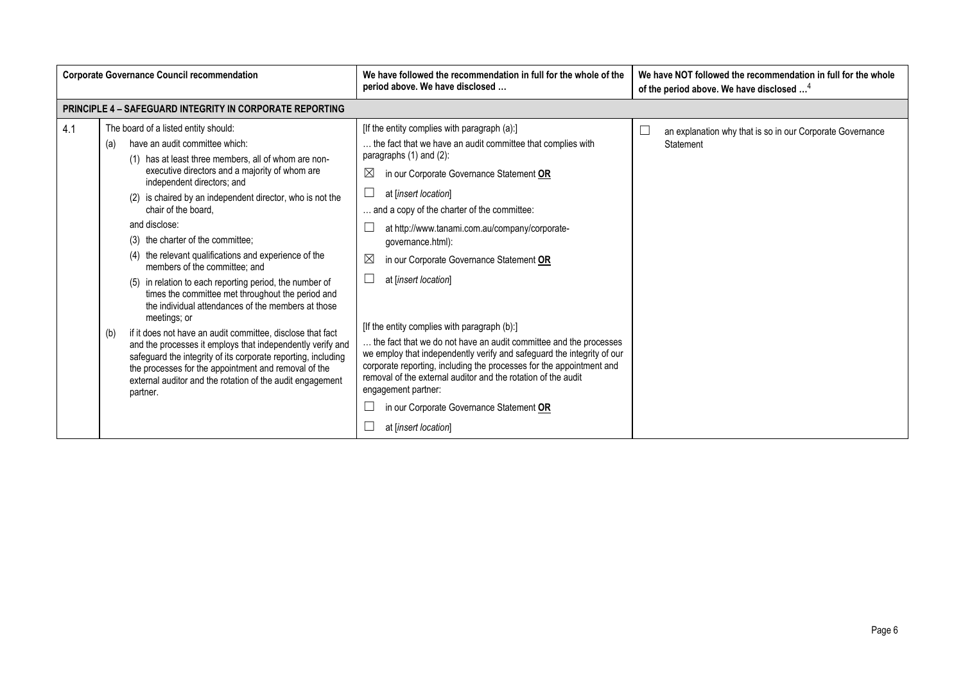| <b>Corporate Governance Council recommendation</b> |                                                                                                                                                                                                                                                                                                                                                                                                                                                                                                                                                                                                                                                                                                                                                                                                                                                                                                                                                                                      | We have followed the recommendation in full for the whole of the<br>period above. We have disclosed                                                                                                                                                                                                                                                                                                                                                                                                                                                                                                                                                                                                                                                                                                                                                         | We have NOT followed the recommendation in full for the whole<br>of the period above. We have disclosed <sup>4</sup> |
|----------------------------------------------------|--------------------------------------------------------------------------------------------------------------------------------------------------------------------------------------------------------------------------------------------------------------------------------------------------------------------------------------------------------------------------------------------------------------------------------------------------------------------------------------------------------------------------------------------------------------------------------------------------------------------------------------------------------------------------------------------------------------------------------------------------------------------------------------------------------------------------------------------------------------------------------------------------------------------------------------------------------------------------------------|-------------------------------------------------------------------------------------------------------------------------------------------------------------------------------------------------------------------------------------------------------------------------------------------------------------------------------------------------------------------------------------------------------------------------------------------------------------------------------------------------------------------------------------------------------------------------------------------------------------------------------------------------------------------------------------------------------------------------------------------------------------------------------------------------------------------------------------------------------------|----------------------------------------------------------------------------------------------------------------------|
|                                                    | <b>PRINCIPLE 4 - SAFEGUARD INTEGRITY IN CORPORATE REPORTING</b>                                                                                                                                                                                                                                                                                                                                                                                                                                                                                                                                                                                                                                                                                                                                                                                                                                                                                                                      |                                                                                                                                                                                                                                                                                                                                                                                                                                                                                                                                                                                                                                                                                                                                                                                                                                                             |                                                                                                                      |
| 4.1                                                | The board of a listed entity should:<br>have an audit committee which:<br>(a)<br>(1) has at least three members, all of whom are non-<br>executive directors and a majority of whom are<br>independent directors; and<br>(2) is chaired by an independent director, who is not the<br>chair of the board.<br>and disclose:<br>(3) the charter of the committee:<br>(4) the relevant qualifications and experience of the<br>members of the committee; and<br>(5) in relation to each reporting period, the number of<br>times the committee met throughout the period and<br>the individual attendances of the members at those<br>meetings; or<br>if it does not have an audit committee, disclose that fact<br>(b)<br>and the processes it employs that independently verify and<br>safeguard the integrity of its corporate reporting, including<br>the processes for the appointment and removal of the<br>external auditor and the rotation of the audit engagement<br>partner. | [If the entity complies with paragraph (a):]<br>the fact that we have an audit committee that complies with<br>paragraphs (1) and (2):<br>⊠<br>in our Corporate Governance Statement OR<br>at [insert location]<br>and a copy of the charter of the committee:<br>at http://www.tanami.com.au/company/corporate-<br>governance.html):<br>$\boxtimes$<br>in our Corporate Governance Statement OR<br>at [insert location]<br>[If the entity complies with paragraph (b):]<br>the fact that we do not have an audit committee and the processes<br>we employ that independently verify and safeguard the integrity of our<br>corporate reporting, including the processes for the appointment and<br>removal of the external auditor and the rotation of the audit<br>engagement partner:<br>in our Corporate Governance Statement OR<br>at [insert location] | $\Box$<br>an explanation why that is so in our Corporate Governance<br>Statement                                     |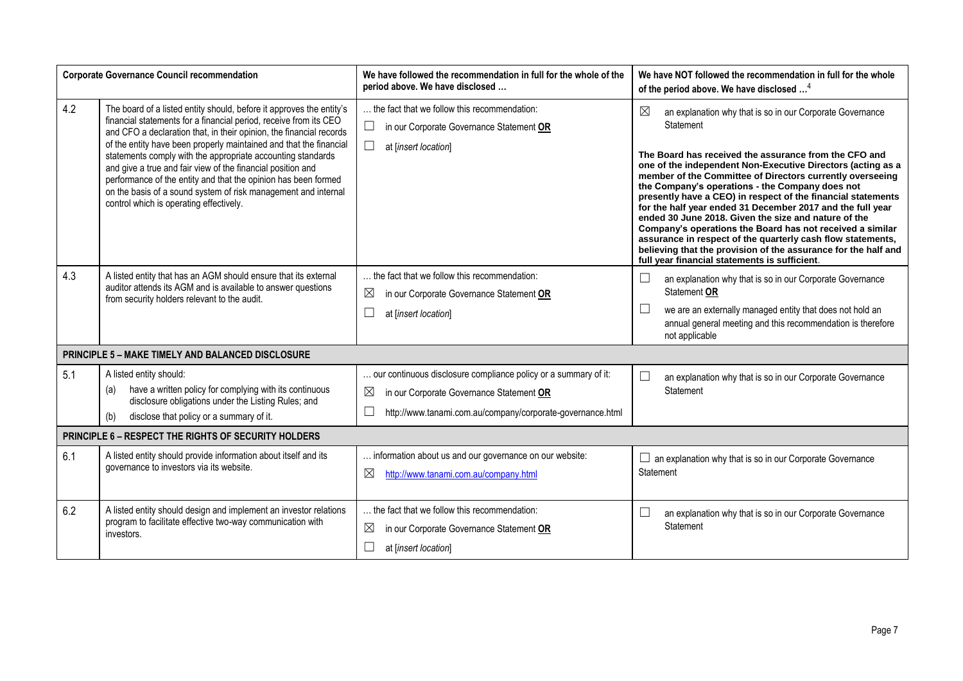|     | <b>Corporate Governance Council recommendation</b>                                                                                                                                                                                                                                                                                                                                                                                                                                                                                                                                                  | We have followed the recommendation in full for the whole of the<br>period above. We have disclosed                                                                                             | We have NOT followed the recommendation in full for the whole<br>of the period above. We have disclosed <sup>4</sup>                                                                                                                                                                                                                                                                                                                                                                                                                                                                                                                                                                                                                                               |
|-----|-----------------------------------------------------------------------------------------------------------------------------------------------------------------------------------------------------------------------------------------------------------------------------------------------------------------------------------------------------------------------------------------------------------------------------------------------------------------------------------------------------------------------------------------------------------------------------------------------------|-------------------------------------------------------------------------------------------------------------------------------------------------------------------------------------------------|--------------------------------------------------------------------------------------------------------------------------------------------------------------------------------------------------------------------------------------------------------------------------------------------------------------------------------------------------------------------------------------------------------------------------------------------------------------------------------------------------------------------------------------------------------------------------------------------------------------------------------------------------------------------------------------------------------------------------------------------------------------------|
| 4.2 | The board of a listed entity should, before it approves the entity's<br>financial statements for a financial period, receive from its CEO<br>and CFO a declaration that, in their opinion, the financial records<br>of the entity have been properly maintained and that the financial<br>statements comply with the appropriate accounting standards<br>and give a true and fair view of the financial position and<br>performance of the entity and that the opinion has been formed<br>on the basis of a sound system of risk management and internal<br>control which is operating effectively. | the fact that we follow this recommendation:<br>$\Box$<br>in our Corporate Governance Statement OR<br>$\Box$<br>at [insert location]                                                            | $\boxtimes$<br>an explanation why that is so in our Corporate Governance<br>Statement<br>The Board has received the assurance from the CFO and<br>one of the independent Non-Executive Directors (acting as a<br>member of the Committee of Directors currently overseeing<br>the Company's operations - the Company does not<br>presently have a CEO) in respect of the financial statements<br>for the half year ended 31 December 2017 and the full year<br>ended 30 June 2018. Given the size and nature of the<br>Company's operations the Board has not received a similar<br>assurance in respect of the quarterly cash flow statements,<br>believing that the provision of the assurance for the half and<br>full year financial statements is sufficient. |
| 4.3 | A listed entity that has an AGM should ensure that its external<br>auditor attends its AGM and is available to answer questions<br>from security holders relevant to the audit.                                                                                                                                                                                                                                                                                                                                                                                                                     | . the fact that we follow this recommendation:<br>$\boxtimes$<br>in our Corporate Governance Statement OR<br>$\Box$<br>at [insert location]                                                     | $\Box$<br>an explanation why that is so in our Corporate Governance<br>Statement OR<br>we are an externally managed entity that does not hold an<br>annual general meeting and this recommendation is therefore<br>not applicable                                                                                                                                                                                                                                                                                                                                                                                                                                                                                                                                  |
|     | <b>PRINCIPLE 5 - MAKE TIMELY AND BALANCED DISCLOSURE</b>                                                                                                                                                                                                                                                                                                                                                                                                                                                                                                                                            |                                                                                                                                                                                                 |                                                                                                                                                                                                                                                                                                                                                                                                                                                                                                                                                                                                                                                                                                                                                                    |
| 5.1 | A listed entity should:<br>have a written policy for complying with its continuous<br>(a)<br>disclosure obligations under the Listing Rules; and<br>disclose that policy or a summary of it.<br>(b)                                                                                                                                                                                                                                                                                                                                                                                                 | our continuous disclosure compliance policy or a summary of it:<br>$\times$<br>in our Corporate Governance Statement OR<br>$\Box$<br>http://www.tanami.com.au/company/corporate-governance.html | an explanation why that is so in our Corporate Governance<br>Statement                                                                                                                                                                                                                                                                                                                                                                                                                                                                                                                                                                                                                                                                                             |
|     | <b>PRINCIPLE 6 - RESPECT THE RIGHTS OF SECURITY HOLDERS</b>                                                                                                                                                                                                                                                                                                                                                                                                                                                                                                                                         |                                                                                                                                                                                                 |                                                                                                                                                                                                                                                                                                                                                                                                                                                                                                                                                                                                                                                                                                                                                                    |
| 6.1 | A listed entity should provide information about itself and its<br>governance to investors via its website.                                                                                                                                                                                                                                                                                                                                                                                                                                                                                         | information about us and our governance on our website:<br>$\boxtimes$<br>http://www.tanami.com.au/company.html                                                                                 | $\Box$ an explanation why that is so in our Corporate Governance<br>Statement                                                                                                                                                                                                                                                                                                                                                                                                                                                                                                                                                                                                                                                                                      |
| 6.2 | A listed entity should design and implement an investor relations<br>program to facilitate effective two-way communication with<br>investors.                                                                                                                                                                                                                                                                                                                                                                                                                                                       | the fact that we follow this recommendation:<br>$\boxtimes$<br>in our Corporate Governance Statement OR<br>$\Box$<br>at [insert location]                                                       | an explanation why that is so in our Corporate Governance<br>L<br>Statement                                                                                                                                                                                                                                                                                                                                                                                                                                                                                                                                                                                                                                                                                        |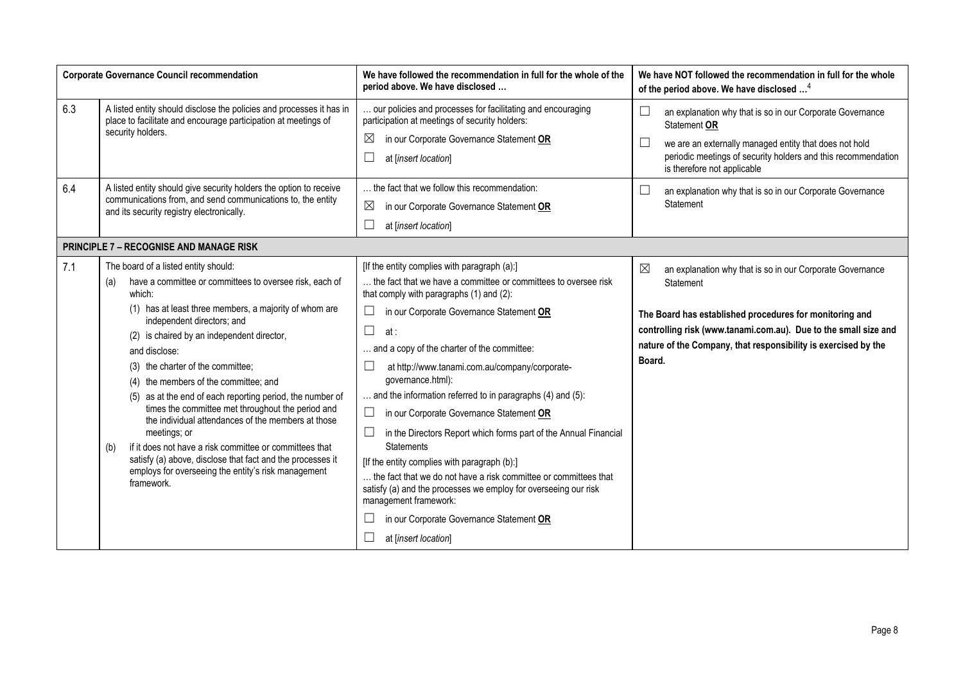| <b>Corporate Governance Council recommendation</b> |                                                                                                                                                                                                                                                                                                                                                                                                                                                                                                                                                                                                                                                                                                                                                    | We have followed the recommendation in full for the whole of the<br>period above. We have disclosed                                                                                                                                                                                                                                                                                                                                                                                                                                                                                                                                                                                                                                                                                                                                    | We have NOT followed the recommendation in full for the whole<br>of the period above. We have disclosed <sup>4</sup>                                                                                                                                                                            |
|----------------------------------------------------|----------------------------------------------------------------------------------------------------------------------------------------------------------------------------------------------------------------------------------------------------------------------------------------------------------------------------------------------------------------------------------------------------------------------------------------------------------------------------------------------------------------------------------------------------------------------------------------------------------------------------------------------------------------------------------------------------------------------------------------------------|----------------------------------------------------------------------------------------------------------------------------------------------------------------------------------------------------------------------------------------------------------------------------------------------------------------------------------------------------------------------------------------------------------------------------------------------------------------------------------------------------------------------------------------------------------------------------------------------------------------------------------------------------------------------------------------------------------------------------------------------------------------------------------------------------------------------------------------|-------------------------------------------------------------------------------------------------------------------------------------------------------------------------------------------------------------------------------------------------------------------------------------------------|
| 6.3                                                | A listed entity should disclose the policies and processes it has in<br>place to facilitate and encourage participation at meetings of<br>security holders.                                                                                                                                                                                                                                                                                                                                                                                                                                                                                                                                                                                        | our policies and processes for facilitating and encouraging<br>participation at meetings of security holders:<br>$\boxtimes$<br>in our Corporate Governance Statement OR<br>at [insert location]                                                                                                                                                                                                                                                                                                                                                                                                                                                                                                                                                                                                                                       | $\Box$<br>an explanation why that is so in our Corporate Governance<br>Statement OR<br>$\Box$<br>we are an externally managed entity that does not hold<br>periodic meetings of security holders and this recommendation<br>is therefore not applicable                                         |
| 6.4                                                | A listed entity should give security holders the option to receive<br>communications from, and send communications to, the entity<br>and its security registry electronically.                                                                                                                                                                                                                                                                                                                                                                                                                                                                                                                                                                     | the fact that we follow this recommendation:<br>$\boxtimes$<br>in our Corporate Governance Statement OR<br>at [insert location]                                                                                                                                                                                                                                                                                                                                                                                                                                                                                                                                                                                                                                                                                                        | $\Box$<br>an explanation why that is so in our Corporate Governance<br>Statement                                                                                                                                                                                                                |
|                                                    | <b>PRINCIPLE 7 - RECOGNISE AND MANAGE RISK</b>                                                                                                                                                                                                                                                                                                                                                                                                                                                                                                                                                                                                                                                                                                     |                                                                                                                                                                                                                                                                                                                                                                                                                                                                                                                                                                                                                                                                                                                                                                                                                                        |                                                                                                                                                                                                                                                                                                 |
| 7.1                                                | The board of a listed entity should:<br>have a committee or committees to oversee risk, each of<br>(a)<br>which:<br>(1) has at least three members, a majority of whom are<br>independent directors; and<br>(2) is chaired by an independent director,<br>and disclose:<br>(3) the charter of the committee;<br>(4) the members of the committee; and<br>(5) as at the end of each reporting period, the number of<br>times the committee met throughout the period and<br>the individual attendances of the members at those<br>meetings; or<br>if it does not have a risk committee or committees that<br>(b)<br>satisfy (a) above, disclose that fact and the processes it<br>employs for overseeing the entity's risk management<br>framework. | [If the entity complies with paragraph (a):]<br>the fact that we have a committee or committees to oversee risk<br>that comply with paragraphs (1) and (2):<br>in our Corporate Governance Statement OR<br>⊔<br>at :<br>and a copy of the charter of the committee:<br>at http://www.tanami.com.au/company/corporate-<br>governance.html):<br>and the information referred to in paragraphs (4) and (5):<br>in our Corporate Governance Statement OR<br>⊔<br>in the Directors Report which forms part of the Annual Financial<br><b>Statements</b><br>[If the entity complies with paragraph (b):]<br>the fact that we do not have a risk committee or committees that<br>satisfy (a) and the processes we employ for overseeing our risk<br>management framework:<br>in our Corporate Governance Statement OR<br>at [insert location] | $\boxtimes$<br>an explanation why that is so in our Corporate Governance<br>Statement<br>The Board has established procedures for monitoring and<br>controlling risk (www.tanami.com.au). Due to the small size and<br>nature of the Company, that responsibility is exercised by the<br>Board. |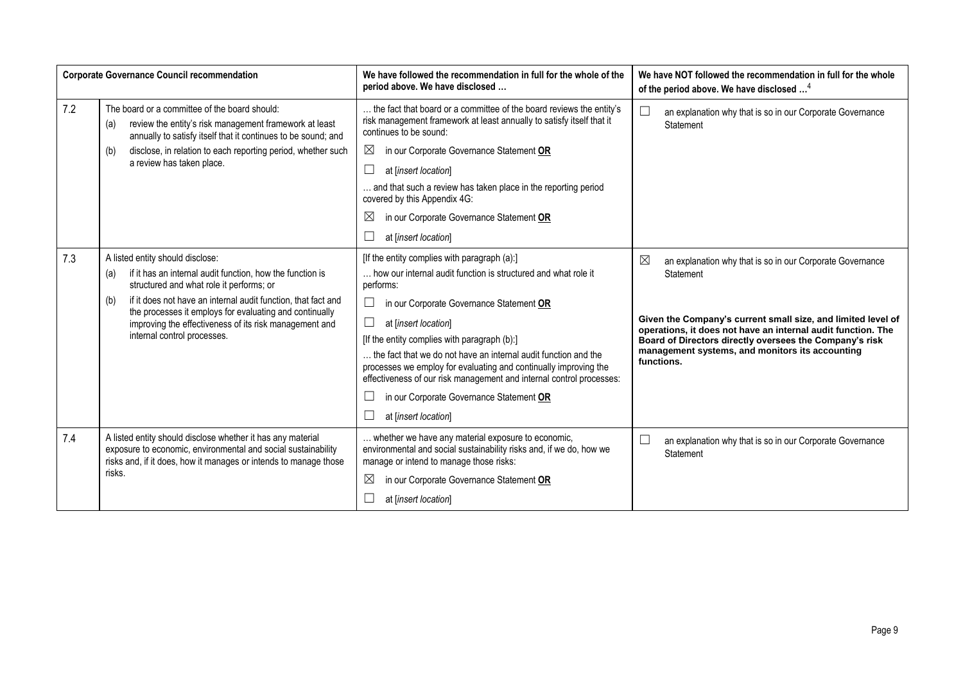|     | <b>Corporate Governance Council recommendation</b>                                                                                                                                                                                                                                                                                                                           | We have followed the recommendation in full for the whole of the<br>period above. We have disclosed                                                                                                                                                                                                                                                                                                                                                                                                                                                    | We have NOT followed the recommendation in full for the whole<br>of the period above. We have disclosed <sup>4</sup>                                                                                                                                                                                                                              |
|-----|------------------------------------------------------------------------------------------------------------------------------------------------------------------------------------------------------------------------------------------------------------------------------------------------------------------------------------------------------------------------------|--------------------------------------------------------------------------------------------------------------------------------------------------------------------------------------------------------------------------------------------------------------------------------------------------------------------------------------------------------------------------------------------------------------------------------------------------------------------------------------------------------------------------------------------------------|---------------------------------------------------------------------------------------------------------------------------------------------------------------------------------------------------------------------------------------------------------------------------------------------------------------------------------------------------|
| 7.2 | The board or a committee of the board should:<br>review the entity's risk management framework at least<br>(a)<br>annually to satisfy itself that it continues to be sound; and<br>disclose, in relation to each reporting period, whether such<br>(b)                                                                                                                       | the fact that board or a committee of the board reviews the entity's<br>risk management framework at least annually to satisfy itself that it<br>continues to be sound:<br>$\boxtimes$<br>in our Corporate Governance Statement OR                                                                                                                                                                                                                                                                                                                     | an explanation why that is so in our Corporate Governance<br>Statement                                                                                                                                                                                                                                                                            |
|     | a review has taken place.                                                                                                                                                                                                                                                                                                                                                    | $\Box$<br>at [insert location]                                                                                                                                                                                                                                                                                                                                                                                                                                                                                                                         |                                                                                                                                                                                                                                                                                                                                                   |
|     |                                                                                                                                                                                                                                                                                                                                                                              | and that such a review has taken place in the reporting period<br>covered by this Appendix 4G:                                                                                                                                                                                                                                                                                                                                                                                                                                                         |                                                                                                                                                                                                                                                                                                                                                   |
|     |                                                                                                                                                                                                                                                                                                                                                                              | $\boxtimes$<br>in our Corporate Governance Statement OR                                                                                                                                                                                                                                                                                                                                                                                                                                                                                                |                                                                                                                                                                                                                                                                                                                                                   |
|     |                                                                                                                                                                                                                                                                                                                                                                              | at [insert location]                                                                                                                                                                                                                                                                                                                                                                                                                                                                                                                                   |                                                                                                                                                                                                                                                                                                                                                   |
| 7.3 | A listed entity should disclose:<br>if it has an internal audit function, how the function is<br>(a)<br>structured and what role it performs; or<br>if it does not have an internal audit function, that fact and<br>(b)<br>the processes it employs for evaluating and continually<br>improving the effectiveness of its risk management and<br>internal control processes. | [If the entity complies with paragraph (a):]<br>how our internal audit function is structured and what role it<br>performs:<br>$\Box$<br>in our Corporate Governance Statement OR<br>$\Box$<br>at [insert location]<br>[If the entity complies with paragraph (b):]<br>the fact that we do not have an internal audit function and the<br>processes we employ for evaluating and continually improving the<br>effectiveness of our risk management and internal control processes:<br>in our Corporate Governance Statement OR<br>at [insert location] | $\boxtimes$<br>an explanation why that is so in our Corporate Governance<br>Statement<br>Given the Company's current small size, and limited level of<br>operations, it does not have an internal audit function. The<br>Board of Directors directly oversees the Company's risk<br>management systems, and monitors its accounting<br>functions. |
| 7.4 | A listed entity should disclose whether it has any material<br>exposure to economic, environmental and social sustainability<br>risks and, if it does, how it manages or intends to manage those<br>risks.                                                                                                                                                                   | whether we have any material exposure to economic,<br>environmental and social sustainability risks and, if we do, how we<br>manage or intend to manage those risks:<br>$\boxtimes$<br>in our Corporate Governance Statement OR<br>at linsert location                                                                                                                                                                                                                                                                                                 | $\Box$<br>an explanation why that is so in our Corporate Governance<br>Statement                                                                                                                                                                                                                                                                  |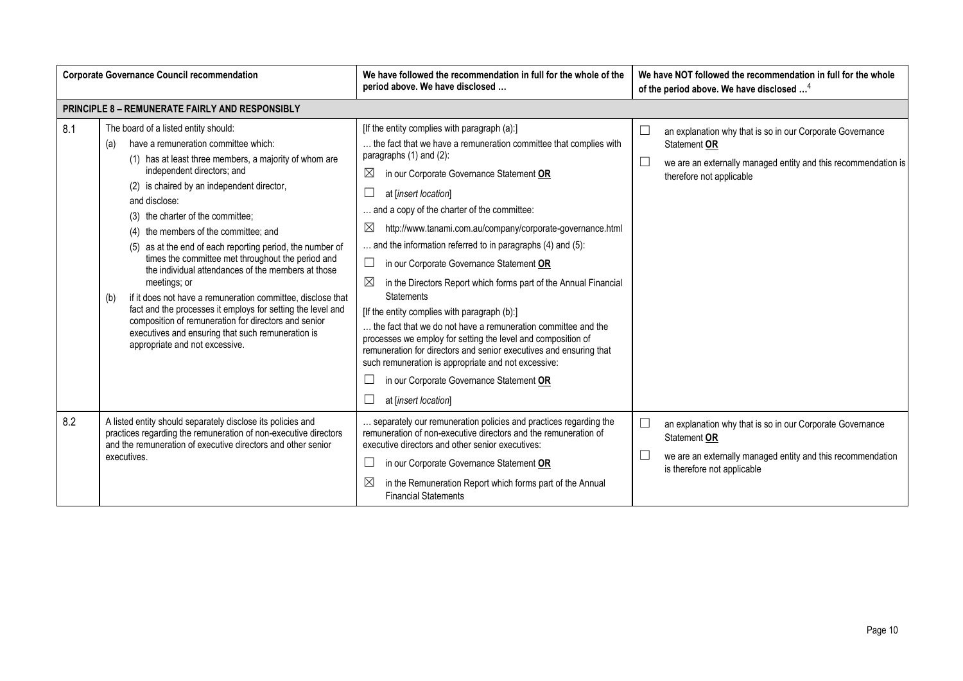| <b>Corporate Governance Council recommendation</b> |                                                                                                                                                                                                                                                                                                                                                                                                                                                                                                                                                                                                                                                                                                                                                                                                      | We have followed the recommendation in full for the whole of the<br>period above. We have disclosed                                                                                                                                                                                                                                                                                                                                                                                                                                                                                                                                                                                                                                                                                                                                                                                                                                                             | We have NOT followed the recommendation in full for the whole<br>of the period above. We have disclosed <sup>4</sup>                                                    |
|----------------------------------------------------|------------------------------------------------------------------------------------------------------------------------------------------------------------------------------------------------------------------------------------------------------------------------------------------------------------------------------------------------------------------------------------------------------------------------------------------------------------------------------------------------------------------------------------------------------------------------------------------------------------------------------------------------------------------------------------------------------------------------------------------------------------------------------------------------------|-----------------------------------------------------------------------------------------------------------------------------------------------------------------------------------------------------------------------------------------------------------------------------------------------------------------------------------------------------------------------------------------------------------------------------------------------------------------------------------------------------------------------------------------------------------------------------------------------------------------------------------------------------------------------------------------------------------------------------------------------------------------------------------------------------------------------------------------------------------------------------------------------------------------------------------------------------------------|-------------------------------------------------------------------------------------------------------------------------------------------------------------------------|
|                                                    | PRINCIPLE 8 - REMUNERATE FAIRLY AND RESPONSIBLY                                                                                                                                                                                                                                                                                                                                                                                                                                                                                                                                                                                                                                                                                                                                                      |                                                                                                                                                                                                                                                                                                                                                                                                                                                                                                                                                                                                                                                                                                                                                                                                                                                                                                                                                                 |                                                                                                                                                                         |
| 8.1                                                | The board of a listed entity should:<br>have a remuneration committee which:<br>(a)<br>(1) has at least three members, a majority of whom are<br>independent directors; and<br>(2) is chaired by an independent director,<br>and disclose:<br>(3) the charter of the committee;<br>(4) the members of the committee; and<br>(5) as at the end of each reporting period, the number of<br>times the committee met throughout the period and<br>the individual attendances of the members at those<br>meetings; or<br>if it does not have a remuneration committee, disclose that<br>(b)<br>fact and the processes it employs for setting the level and<br>composition of remuneration for directors and senior<br>executives and ensuring that such remuneration is<br>appropriate and not excessive. | [If the entity complies with paragraph (a):]<br>the fact that we have a remuneration committee that complies with<br>paragraphs (1) and (2):<br>⊠<br>in our Corporate Governance Statement OR<br>at [insert location]<br>and a copy of the charter of the committee:<br>http://www.tanami.com.au/company/corporate-governance.html<br>$\boxtimes$<br>and the information referred to in paragraphs (4) and (5):<br>in our Corporate Governance Statement OR<br>$\Box$<br>$\boxtimes$<br>in the Directors Report which forms part of the Annual Financial<br><b>Statements</b><br>[If the entity complies with paragraph (b):]<br>the fact that we do not have a remuneration committee and the<br>processes we employ for setting the level and composition of<br>remuneration for directors and senior executives and ensuring that<br>such remuneration is appropriate and not excessive:<br>in our Corporate Governance Statement OR<br>at [insert location] | an explanation why that is so in our Corporate Governance<br>Statement OR<br>we are an externally managed entity and this recommendation is<br>therefore not applicable |
| 8.2                                                | A listed entity should separately disclose its policies and<br>practices regarding the remuneration of non-executive directors<br>and the remuneration of executive directors and other senior<br>executives.                                                                                                                                                                                                                                                                                                                                                                                                                                                                                                                                                                                        | separately our remuneration policies and practices regarding the<br>remuneration of non-executive directors and the remuneration of<br>executive directors and other senior executives:<br>in our Corporate Governance Statement OR<br>$\boxtimes$<br>in the Remuneration Report which forms part of the Annual<br><b>Financial Statements</b>                                                                                                                                                                                                                                                                                                                                                                                                                                                                                                                                                                                                                  | an explanation why that is so in our Corporate Governance<br>Statement OR<br>we are an externally managed entity and this recommendation<br>is therefore not applicable |